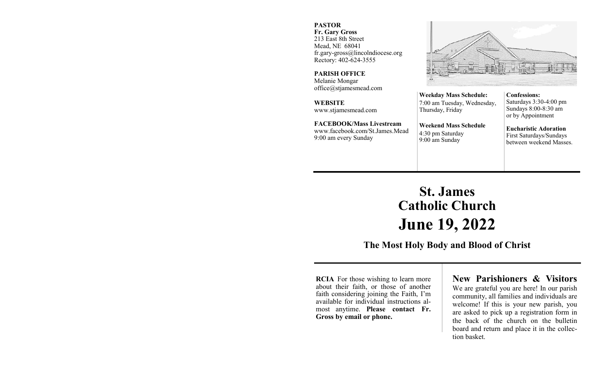### **PASTOR Fr. Gary Gross**

213 East 8th Street Mead, NE 68041 fr.gary-gross@lincolndiocese.org Rectory: 402-624-3555

**PARISH OFFICE** Melanie Mongar office@stjamesmead.com

**WEBSITE** www.stjamesmead.com

**FACEBOOK/Mass Livestream** [www.facebook.com/St.James.Mead](https://www.facebook.com/St.James.Mead/) 9:00 am every Sunday

**Confessions:**  Saturdays 3:30-4:00 pm Sundays 8:00-8:30 am or by Appointment

**Eucharistic Adoration**  First Saturdays/Sundays between weekend Masses.

# **St. James Catholic Church June 19, 2022**

**Weekday Mass Schedule:**  7:00 am Tuesday, Wednesday,

**Weekend Mass Schedule**

Thursday, Friday

4:30 pm Saturday 9:00 am Sunday

**The Most Holy Body and Blood of Christ**

**RCIA** For those wishing to learn more about their faith, or those of another faith considering joining the Faith, I'm available for individual instructions almost anytime. **Please contact Fr. Gross by email or phone.**

### **New Parishioners & Visitors**

We are grateful you are here! In our parish community, all families and individuals are welcome! If this is your new parish, you are asked to pick up a registration form in the back of the church on the bulletin board and return and place it in the collection basket.